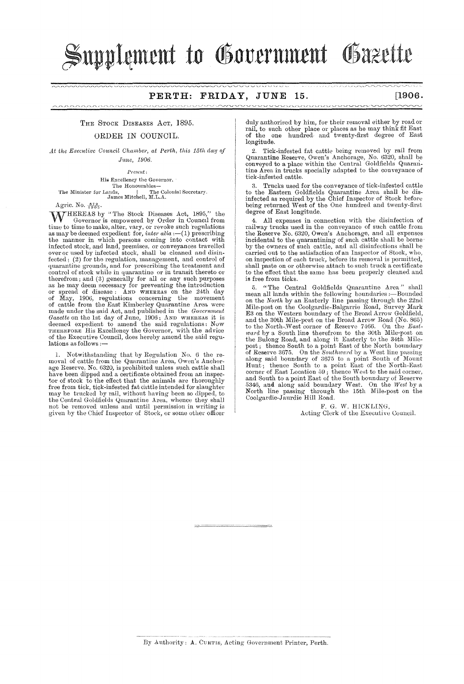# ${\bf {\mathbb S}}$ upplement to Government Gazette

#### **PERTH: FRIDAY, JUNE 15. [1906.**

### THE STOCK DISEASES ACT, 1895.

#### ORDER IN COUNCIL.

At the Executive Council Chamber, at Perth, this 15th day of *J1me, 1906.* 

*Present:* 

His Excellency the Governor,<br>
The Honourables—<br>
The Minister for Lands,<br>
James Mitchell, M.L.A.<br>
I. The Colonial Secretary.

Agric. No.  $\frac{679}{1905}$ .

W HEREAS by "The Stock Diseases Act, 1895," the Governor is empowered by Order in Council from time to time to make, alter, vary, or revoke such regulations as may be deemed expedient for, *inter alia* :--(1) prescribing the manner in which persons coming into contact with infected stock, and land, premises, or conveyances travelled over or used by infected stock, shall be cleaned and disinfected; (2) for the regulation, management, and control of quarantine grounds, and for prescribing the treatment and control of stock while in quarantine or in transit thereto or therefrom; and (3) generally for all or any such purposes as he may deem necessary for preventing the introduction or spread of disease:  $\Delta \text{ND}$  WHEREAS on the 24th day<br>of May, 1906, regulations concerning the movement<br>of cattle from the East Kimberley Quarantine Area were<br>made under the said Act, and published in the Government<br> $G$ of the Executive Council, does hereby amend the said regulations as follows :-

1. Notwithstanding that by Regulation No. 6 the removal of cattle from the Quarantine Area, Owen's Anchor-<br>age Reserve, No. 6320, is prohibited unless such cattle shall<br>have been dipped and a certificate obtained from an inspector of stock to the effect that the animals are thoroughly free from tick, tick-infested fat cattle intended for slaughter may he trucked by mil, without having been so clipped, to the Central Goldfields Quarantine Area, whence they shall not be removed unless and until permission in writing is given by the Chief Inspector of Stock, or some other officer

duly authorised by him, for their removal either by road or rail, to such other place or places as he may think fit East of the one hundred and twenty-first degree of East longitude.

,,,,,,,,,,,,,,,,,,,,,,,,,,,,,,

2. Tick-infested fat cattle being removed by rail from Quarantine Reserve, Owen's Anehorage, No. 15320, shall be conveyed to a place within the Central Goldfields Quarmitine Area in trucks speeially adapted to the conveyance of tiek-infested cattle.

Trucks used for the conveyance of tick-infested cattle to the Eastern Goldfields Quarantine Area shall be disinfected as required by the Chief Inspector of Stock before being returned West of the One hundred and twenty-first degree of East longitude.

4. All expenses in connection with the disinfection of railway trucks used in the conveyance of such cattle from the Reserve No. 6320, Owen's Anchorage, and all expenses incidental to the quarantining of such cattle shall be borne. by the owners of such cattle, and all disinfections shall be carried out to the satisfaetion of an Inspector of Stock, who, on inspection of each truck, before its removal is permitted, shall paste on or otherwise attach to such truck a eertificate to the effect that the same has beell properly cleaned and is free from ticks.

5. "'fhe Central Goldfields Quarantine Area" shall mean all lands within the following boundaries :- Bounded on the *North* by an Easterly line passing through the 22ml Mile-post on the Coolgardie-Balgarrie Road, Survey Mark E3 on the Western boundary of the Broad Arrow Goldfield, and the 30th Mile-post on the Broad Arrow Road (No. 865)<br>to the North-West corner of Reserve 7466. On the *East*ward by a South line therefrom to the 30th Mile-post on the Bulong Road, and along it Easterly to the 34th Milepost; thence South to a point East of the North boundary<br>of Reserve 3675. On the *Southward* by a West line passing along said boundary of 3675 to a point South of Mount<br>Hunt; thence South to a point East of the North-East corner of East Location 59; thence West to the said corner,<br>and South to a point East of the South boundary of Reserve<br>5346, and along said boundary West. On the West by a<br>North line passing through the 15th Mile-post on t Cooigardie-Jaurdie Hill Hoad.

F. G. W. HICKLING,<br>Acting Clerk of the Executive Council.